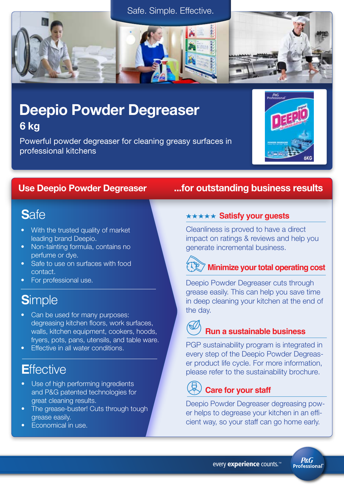

# 6 kg Deepio Powder Degreaser

Powerful powder degreaser for cleaning greasy surfaces in professional kitchens



# **S**afe

- With the trusted quality of market leading brand Deepio.
- Non-tainting formula, contains no perfume or dye.
- Safe to use on surfaces with food contact.
- For professional use.

# **S**imple

- Can be used for many purposes: degreasing kitchen floors, work surfaces, walls, kitchen equipment, cookers, hoods, fryers, pots, pans, utensils, and table ware.
- Effective in all water conditions.

# **E**ffective

- Use of high performing ingredients and P&G patented technologies for great cleaning results.
- The grease-buster! Cuts through tough grease easily.
- Economical in use.

## Use Deepio Powder Degreaser ...for outstanding business results

#### **\*\*\*\*\* Satisfy your guests**

Cleanliness is proved to have a direct impact on ratings & reviews and help you generate incremental business.

# **Minimize your total operating cost <sup>100</sup>**

Deepio Powder Degreaser cuts through grease easily. This can help you save time in deep cleaning your kitchen at the end of the day.

#### **Run a sustainable business**

PGP sustainability program is integrated in every step of the Deepio Powder Degreaser product life cycle. For more information, please refer to the sustainability brochure.

# **Care for your staff**

Deepio Powder Degreaser degreasing power helps to degrease your kitchen in an efficient way, so your staff can go home early.

> **P&G Professional**

every experience counts.<sup>™</sup>